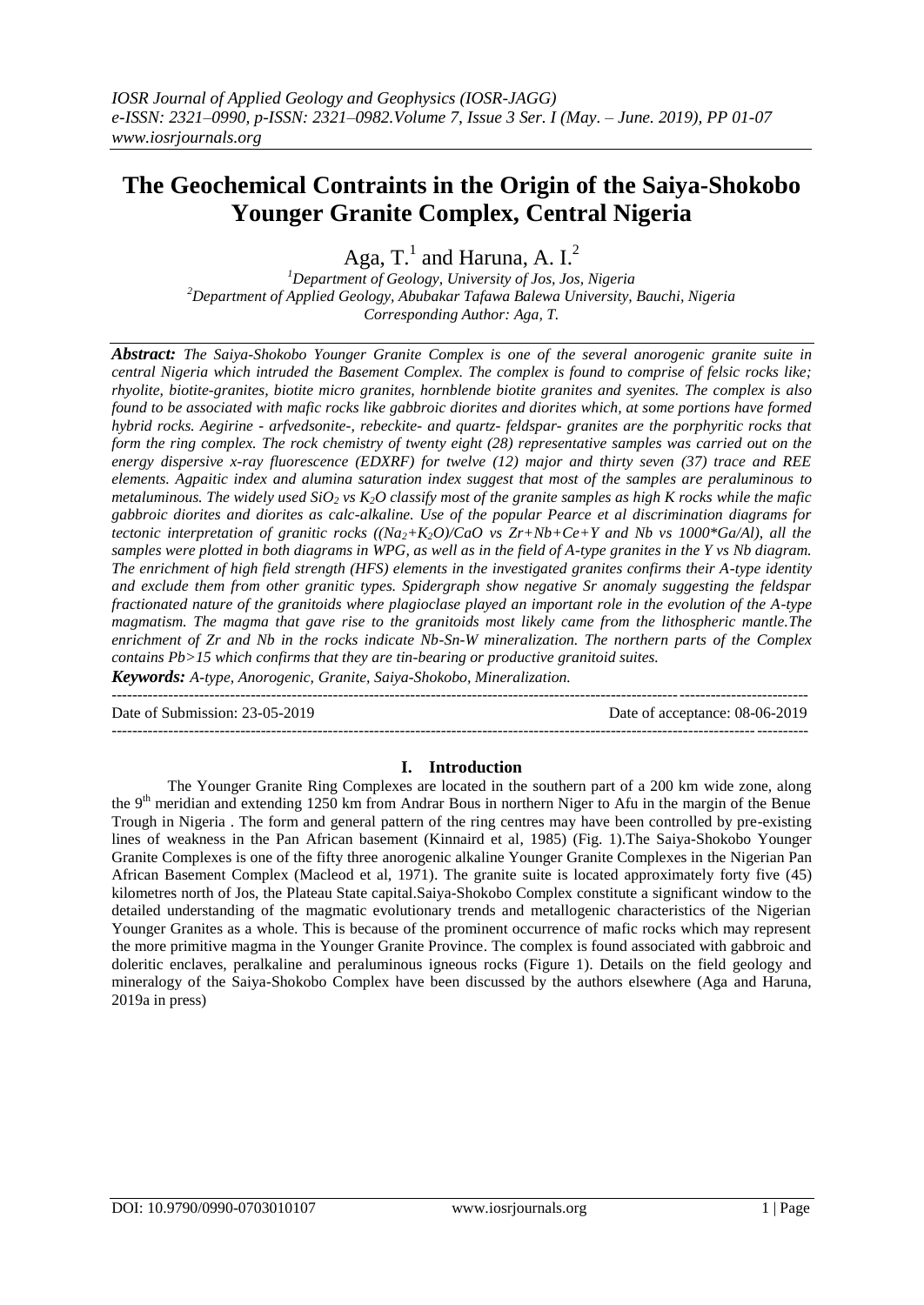# **The Geochemical Contraints in the Origin of the Saiya-Shokobo Younger Granite Complex, Central Nigeria**

Aga, T.<sup>1</sup> and Haruna, A. I.<sup>2</sup>

*<sup>1</sup>Department of Geology, University of Jos, Jos, Nigeria <sup>2</sup>Department of Applied Geology, Abubakar Tafawa Balewa University, Bauchi, Nigeria Corresponding Author: Aga, T.*

*Abstract: The Saiya-Shokobo Younger Granite Complex is one of the several anorogenic granite suite in central Nigeria which intruded the Basement Complex. The complex is found to comprise of felsic rocks like; rhyolite, biotite-granites, biotite micro granites, hornblende biotite granites and syenites. The complex is also found to be associated with mafic rocks like gabbroic diorites and diorites which, at some portions have formed hybrid rocks. Aegirine - arfvedsonite-, rebeckite- and quartz- feldspar- granites are the porphyritic rocks that form the ring complex. The rock chemistry of twenty eight (28) representative samples was carried out on the energy dispersive x-ray fluorescence (EDXRF) for twelve (12) major and thirty seven (37) trace and REE elements. Agpaitic index and alumina saturation index suggest that most of the samples are peraluminous to metaluminous. The widely used SiO<sup>2</sup> vs K2O classify most of the granite samples as high K rocks while the mafic gabbroic diorites and diorites as calc-alkaline. Use of the popular Pearce et al discrimination diagrams for tectonic interpretation of granitic rocks ((Na2+K2O)/CaO vs Zr+Nb+Ce+Y and Nb vs 1000\*Ga/Al), all the samples were plotted in both diagrams in WPG, as well as in the field of A-type granites in the Y vs Nb diagram. The enrichment of high field strength (HFS) elements in the investigated granites confirms their A-type identity and exclude them from other granitic types. Spidergraph show negative Sr anomaly suggesting the feldspar fractionated nature of the granitoids where plagioclase played an important role in the evolution of the A-type magmatism. The magma that gave rise to the granitoids most likely came from the lithospheric mantle.The enrichment of Zr and Nb in the rocks indicate Nb-Sn-W mineralization. The northern parts of the Complex contains Pb>15 which confirms that they are tin-bearing or productive granitoid suites.*

*Keywords: A-type, Anorogenic, Granite, Saiya-Shokobo, Mineralization.*  $-1.1$ 

Date of Submission: 23-05-2019 Date of acceptance: 08-06-2019

#### **I. Introduction**

---------------------------------------------------------------------------------------------------------------------------------------

The Younger Granite Ring Complexes are located in the southern part of a 200 km wide zone, along the 9<sup>th</sup> meridian and extending 1250 km from Andrar Bous in northern Niger to Afu in the margin of the Benue Trough in Nigeria . The form and general pattern of the ring centres may have been controlled by pre-existing lines of weakness in the Pan African basement (Kinnaird et al, 1985) (Fig. 1).The Saiya-Shokobo Younger Granite Complexes is one of the fifty three anorogenic alkaline Younger Granite Complexes in the Nigerian Pan African Basement Complex (Macleod et al, 1971). The granite suite is located approximately forty five (45) kilometres north of Jos, the Plateau State capital.Saiya-Shokobo Complex constitute a significant window to the detailed understanding of the magmatic evolutionary trends and metallogenic characteristics of the Nigerian Younger Granites as a whole. This is because of the prominent occurrence of mafic rocks which may represent the more primitive magma in the Younger Granite Province. The complex is found associated with gabbroic and doleritic enclaves, peralkaline and peraluminous igneous rocks (Figure 1). Details on the field geology and mineralogy of the Saiya-Shokobo Complex have been discussed by the authors elsewhere (Aga and Haruna, 2019a in press)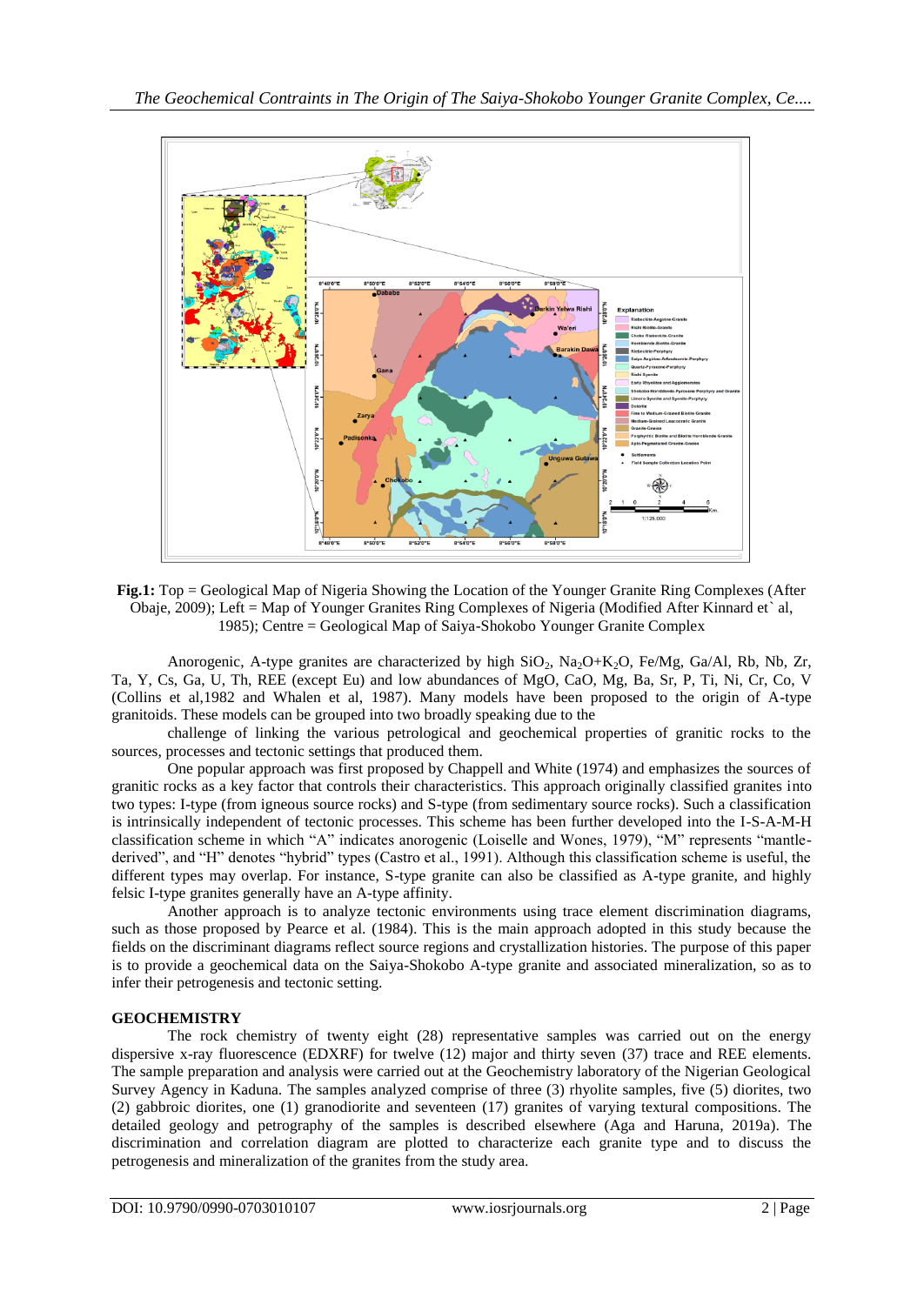

**Fig.1:** Top = Geological Map of Nigeria Showing the Location of the Younger Granite Ring Complexes (After Obaje, 2009); Left = Map of Younger Granites Ring Complexes of Nigeria (Modified After Kinnard et` al, 1985); Centre = Geological Map of Saiya-Shokobo Younger Granite Complex

Anorogenic, A-type granites are characterized by high  $SiO_2$ ,  $Na_2O+K_2O$ , Fe/Mg, Ga/Al, Rb, Nb, Zr, Ta, Y, Cs, Ga, U, Th, REE (except Eu) and low abundances of MgO, CaO, Mg, Ba, Sr, P, Ti, Ni, Cr, Co, V (Collins et al,1982 and Whalen et al, 1987). Many models have been proposed to the origin of A-type granitoids. These models can be grouped into two broadly speaking due to the

challenge of linking the various petrological and geochemical properties of granitic rocks to the sources, processes and tectonic settings that produced them.

One popular approach was first proposed by Chappell and White (1974) and emphasizes the sources of granitic rocks as a key factor that controls their characteristics. This approach originally classified granites into two types: I-type (from igneous source rocks) and S-type (from sedimentary source rocks). Such a classification is intrinsically independent of tectonic processes. This scheme has been further developed into the I-S-A-M-H classification scheme in which "A" indicates anorogenic (Loiselle and Wones, 1979), "M" represents "mantlederived", and "H" denotes "hybrid" types (Castro et al., 1991). Although this classification scheme is useful, the different types may overlap. For instance, S-type granite can also be classified as A-type granite, and highly felsic I-type granites generally have an A-type affinity.

Another approach is to analyze tectonic environments using trace element discrimination diagrams, such as those proposed by Pearce et al. (1984). This is the main approach adopted in this study because the fields on the discriminant diagrams reflect source regions and crystallization histories. The purpose of this paper is to provide a geochemical data on the Saiya-Shokobo A-type granite and associated mineralization, so as to infer their petrogenesis and tectonic setting.

## **GEOCHEMISTRY**

The rock chemistry of twenty eight (28) representative samples was carried out on the energy dispersive x-ray fluorescence (EDXRF) for twelve (12) major and thirty seven (37) trace and REE elements. The sample preparation and analysis were carried out at the Geochemistry laboratory of the Nigerian Geological Survey Agency in Kaduna. The samples analyzed comprise of three (3) rhyolite samples, five (5) diorites, two (2) gabbroic diorites, one (1) granodiorite and seventeen (17) granites of varying textural compositions. The detailed geology and petrography of the samples is described elsewhere (Aga and Haruna, 2019a). The discrimination and correlation diagram are plotted to characterize each granite type and to discuss the petrogenesis and mineralization of the granites from the study area.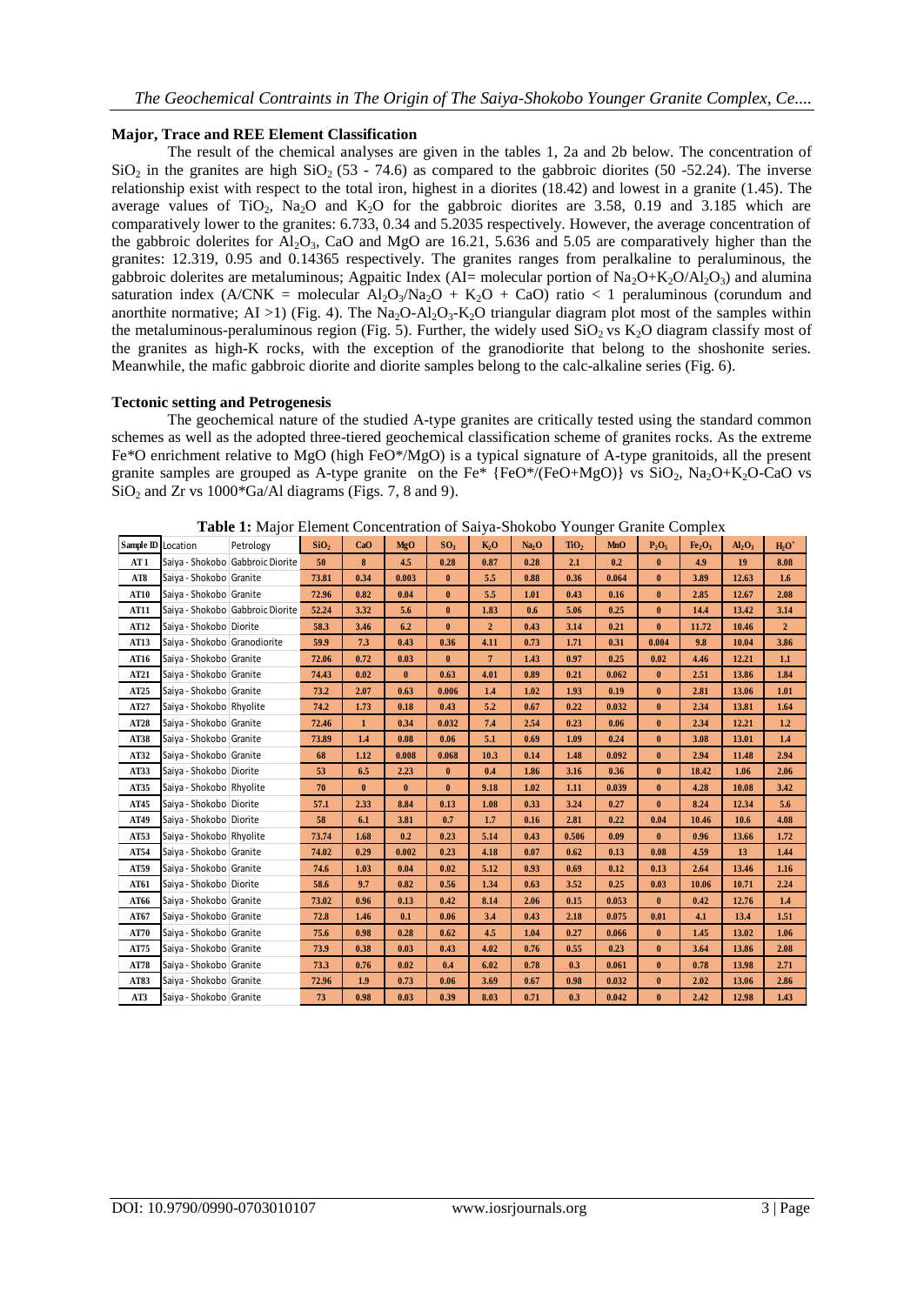## **Major, Trace and REE Element Classification**

The result of the chemical analyses are given in the tables 1, 2a and 2b below. The concentration of SiO<sub>2</sub> in the granites are high SiO<sub>2</sub> (53 - 74.6) as compared to the gabbroic diorites (50 -52.24). The inverse relationship exist with respect to the total iron, highest in a diorites (18.42) and lowest in a granite (1.45). The average values of TiO<sub>2</sub>, Na<sub>2</sub>O and K<sub>2</sub>O for the gabbroic diorites are 3.58, 0.19 and 3.185 which are comparatively lower to the granites: 6.733, 0.34 and 5.2035 respectively. However, the average concentration of the gabbroic dolerites for  $A_1O_3$ , CaO and MgO are 16.21, 5.636 and 5.05 are comparatively higher than the granites: 12.319, 0.95 and 0.14365 respectively. The granites ranges from peralkaline to peraluminous, the gabbroic dolerites are metaluminous; Agpaitic Index (AI= molecular portion of  $\text{Na}_2\text{O}+\text{K}_2\text{O}/\text{Al}_2\text{O}_3$ ) and alumina saturation index (A/CNK = molecular  $A1_2O_3/Na_2O + K_2O + CaO$ ) ratio < 1 peraluminous (corundum and anorthite normative; AI >1) (Fig. 4). The Na<sub>2</sub>O-Al<sub>2</sub>O<sub>3</sub>-K<sub>2</sub>O triangular diagram plot most of the samples within the metaluminous-peraluminous region (Fig. 5). Further, the widely used  $SiO<sub>2</sub>$  vs K<sub>2</sub>O diagram classify most of the granites as high-K rocks, with the exception of the granodiorite that belong to the shoshonite series. Meanwhile, the mafic gabbroic diorite and diorite samples belong to the calc-alkaline series (Fig. 6).

## **Tectonic setting and Petrogenesis**

The geochemical nature of the studied A-type granites are critically tested using the standard common schemes as well as the adopted three-tiered geochemical classification scheme of granites rocks. As the extreme Fe\*O enrichment relative to MgO (high FeO\*/MgO) is a typical signature of A-type granitoids, all the present granite samples are grouped as A-type granite on the Fe\*  ${FeO^*/(FeO+MgO)}$  vs  $SiO_2$ , Na<sub>2</sub>O+K<sub>2</sub>O-CaO vs  $SiO<sub>2</sub>$  and Zr vs 1000\*Ga/Al diagrams (Figs. 7, 8 and 9).

| Sample <b>ID</b> Location |                                  | <b>Table 1:</b> Major Element Concentration of Saiya-Shokobo Younger Granite Complex<br>Petrology | SiO <sub>2</sub> | CaO          | <b>MgO</b> | SO <sub>3</sub> | K <sub>2</sub> O | Na <sub>2</sub> O | TiO <sub>2</sub> | <b>MnO</b> | $P_2O_5$ | Fe <sub>2</sub> O <sub>3</sub> | Al <sub>2</sub> O <sub>3</sub> | $H_2O^+$       |
|---------------------------|----------------------------------|---------------------------------------------------------------------------------------------------|------------------|--------------|------------|-----------------|------------------|-------------------|------------------|------------|----------|--------------------------------|--------------------------------|----------------|
| AT 1                      | Saiya - Shokobo Gabbroic Diorite |                                                                                                   | 50               | 8            | 4.5        | 0.28            | 0.87             | 0.28              | 2.1              | 0.2        | $\bf{0}$ | 4.9                            | 19                             | 8.08           |
| AT8                       | Saiya - Shokobo Granite          |                                                                                                   | 73.81            | 0.34         | 0.003      | $\bf{0}$        | 5.5              | 0.88              | 0.36             | 0.064      | $\bf{0}$ | 3.89                           | 12.63                          | 1.6            |
| AT10                      | Saiya - Shokobo Granite          |                                                                                                   | 72.96            | 0.82         | 0.04       | $\bf{0}$        | 5.5              | 1.01              | 0.43             | 0.16       | $\bf{0}$ | 2.85                           | 12.67                          | 2.08           |
| <b>AT11</b>               |                                  | Saiya - Shokobo Gabbroic Diorite                                                                  | 52.24            | 3.32         | 5.6        | $\bf{0}$        | 1.83             | 0.6               | 5.06             | 0.25       | $\bf{0}$ | 14,4                           | 13.42                          | 3.14           |
| AT12                      | Saiya - Shokobo Diorite          |                                                                                                   | 58.3             | 3.46         | 6.2        | $\bf{0}$        | $\overline{2}$   | 0.43              | 3.14             | 0.21       | $\bf{0}$ | 11.72                          | 10.46                          | $\overline{2}$ |
| AT13                      | Saiya - Shokobo Granodiorite     |                                                                                                   | 59.9             | 7.3          | 0.43       | 0.36            | 4.11             | 0.73              | 1.71             | 0.31       | 0.004    | 9.8                            | 10.04                          | 3.86           |
| AT16                      | Saiya - Shokobo Granite          |                                                                                                   | 72.06            | 0.72         | 0.03       | $\bf{0}$        | $\overline{7}$   | 1.43              | 0.97             | 0.25       | 0.02     | 4.46                           | 12.21                          | 1.1            |
| AT21                      | Saiya - Shokobo Granite          |                                                                                                   | 74.43            | 0.02         | $\bf{0}$   | 0.63            | 4.01             | 0.89              | 0.21             | 0.062      | $\bf{0}$ | 2.51                           | 13.86                          | 1.84           |
| AT25                      | Saiya - Shokobo Granite          |                                                                                                   | 73.2             | 2.07         | 0.63       | 0.006           | 1.4              | 1.02              | 1.93             | 0.19       | $\bf{0}$ | 2.81                           | 13.06                          | 1.01           |
| AT27                      | Saiya - Shokobo Rhyolite         |                                                                                                   | 74.2             | 1.73         | 0.18       | 0.43            | 5.2              | 0.67              | 0.22             | 0.032      | $\bf{0}$ | 2.34                           | 13.81                          | 1.64           |
| AT28                      | Saiya - Shokobo Granite          |                                                                                                   | 72.46            | $\mathbf{1}$ | 0.34       | 0.032           | 7.4              | 2.54              | 0.23             | 0.06       | $\bf{0}$ | 2.34                           | 12.21                          | 1.2            |
| AT38                      | Saiya - Shokobo Granite          |                                                                                                   | 73.89            | 1.4          | 0.08       | 0.06            | 5.1              | 0.69              | 1.09             | 0.24       | $\bf{0}$ | 3.08                           | 13.01                          | 1.4            |
| AT32                      | Saiya - Shokobo Granite          |                                                                                                   | 68               | 1.12         | 0.008      | 0.068           | 10.3             | 0.14              | 1.48             | 0.092      | $\bf{0}$ | 2.94                           | 11.48                          | 2.94           |
| AT33                      | Saiya - Shokobo Diorite          |                                                                                                   | 53               | 6.5          | 2.23       | $\bf{0}$        | 0.4              | 1.86              | 3.16             | 0.36       | $\bf{0}$ | 18.42                          | 1.06                           | 2.06           |
| AT35                      | Saiya - Shokobo Rhyolite         |                                                                                                   | 70               | $\bf{0}$     | $\bf{0}$   | $\bf{0}$        | 9.18             | 1.02              | 1.11             | 0.039      | $\bf{0}$ | 4.28                           | 10.08                          | 3.42           |
| AT45                      | Saiya - Shokobo Diorite          |                                                                                                   | 57.1             | 2.33         | 8.84       | 0.13            | 1.08             | 0.33              | 3.24             | 0.27       | $\bf{0}$ | 8.24                           | 12.34                          | 5.6            |
| AT49                      | Saiya - Shokobo Diorite          |                                                                                                   | 58               | 6.1          | 3.81       | 0.7             | 1.7              | 0.16              | 2.81             | 0.22       | 0.04     | 10.46                          | 10.6                           | 4.08           |
| AT53                      | Saiya - Shokobo Rhyolite         |                                                                                                   | 73.74            | 1.68         | 0.2        | 0.23            | 5.14             | 0.43              | 0.506            | 0.09       | $\bf{0}$ | 0.96                           | 13.66                          | 1.72           |
| AT54                      | Saiya - Shokobo Granite          |                                                                                                   | 74.02            | 0.29         | 0.002      | 0.23            | 4.18             | 0.07              | 0.62             | 0.13       | 0.08     | 4.59                           | 13                             | 1.44           |
| AT59                      | Saiya - Shokobo Granite          |                                                                                                   | 74.6             | 1.03         | 0.04       | 0.02            | 5.12             | 0.93              | 0.69             | 0.12       | 0.13     | 2.64                           | 13.46                          | 1.16           |
| AT61                      | Saiya - Shokobo Diorite          |                                                                                                   | 58.6             | 9.7          | 0.82       | 0.56            | 1.34             | 0.63              | 3.52             | 0.25       | 0.03     | 10.06                          | 10.71                          | 2.24           |
| AT66                      | Saiya - Shokobo Granite          |                                                                                                   | 73.02            | 0.96         | 0.13       | 0.42            | 8.14             | 2.06              | 0.15             | 0.053      | $\bf{0}$ | 0.42                           | 12.76                          | 1.4            |
| AT67                      | Saiya - Shokobo Granite          |                                                                                                   | 72.8             | 1.46         | 0.1        | 0.06            | 3.4              | 0.43              | 2.18             | 0.075      | 0.01     | 4.1                            | 13.4                           | 1.51           |
| AT70                      | Saiya - Shokobo Granite          |                                                                                                   | 75.6             | 0.98         | 0.28       | 0.62            | 4.5              | 1.04              | 0.27             | 0.066      | $\bf{0}$ | 1.45                           | 13.02                          | 1.06           |
| AT75                      | Saiya - Shokobo Granite          |                                                                                                   | 73.9             | 0.38         | 0.03       | 0.43            | 4.02             | 0.76              | 0.55             | 0.23       | $\bf{0}$ | 3.64                           | 13.86                          | 2.08           |
| AT78                      | Saiya - Shokobo Granite          |                                                                                                   | 73.3             | 0.76         | 0.02       | 0.4             | 6.02             | 0.78              | 0.3              | 0.061      | $\bf{0}$ | 0.78                           | 13.98                          | 2.71           |
| AT83                      | Saiya - Shokobo Granite          |                                                                                                   | 72.96            | 1.9          | 0.73       | 0.06            | 3.69             | 0.67              | 0.98             | 0.032      | $\bf{0}$ | 2.02                           | 13.06                          | 2.86           |
| AT3                       | Saiya - Shokobo Granite          |                                                                                                   | 73               | 0.98         | 0.03       | 0.39            | 8.03             | 0.71              | 0.3              | 0.042      | $\bf{0}$ | 2.42                           | 12.98                          | 1.43           |

**Table 1:** Major Element Concentration of Saiya-Shokobo Younger Granite Complex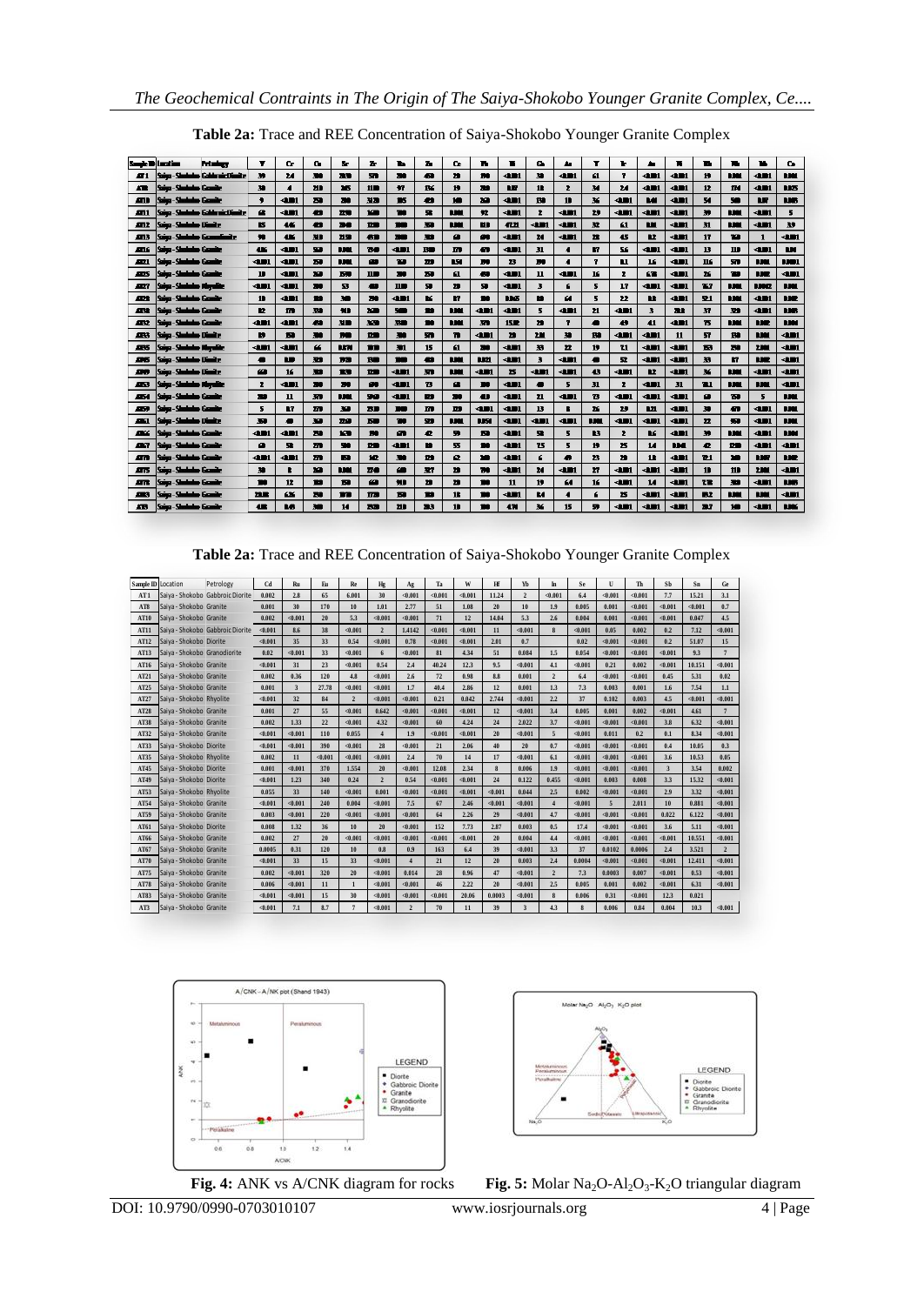| <b>Sept D Lastics</b> |                                   | <b>Professional</b>                 | Ŧ              | G.              | п.                      | ъ.           | z.             | ъ                        | ъ   | n.             | ъ           | в             | в.                      | 44                       | т                | ъ              | ٠                       | к           | ъ                       | ъ.                      | ъ.           | о.           |
|-----------------------|-----------------------------------|-------------------------------------|----------------|-----------------|-------------------------|--------------|----------------|--------------------------|-----|----------------|-------------|---------------|-------------------------|--------------------------|------------------|----------------|-------------------------|-------------|-------------------------|-------------------------|--------------|--------------|
| 81.                   |                                   | Saina - Shududoo Gabba air.Clionite | 39             | 24              | 30.                     | 医肠           | m              | 30                       | Ð   | n              | m           | <b>dill</b>   | $\bullet$               | 4m                       | 61               | Ŧ.             | dШ                      | dШ          | $\mathbf{H}$            | m                       | 4m           | m            |
| Æ                     | Saine-Shahaha Gande               |                                     | 30             | $\blacksquare$  | ш                       | 35           | n <sub>n</sub> | $\bullet$                | RK. | Ħ              | м           | œ             | 12                      | z.                       | м                | 24             | dШ                      | dШ          | 12                      | <b>TM</b>               | d∎ı          | <b>LES</b>   |
| m                     | Saina-Shahaba Gamile              |                                     | ٠              | $-11$           | ы                       | m            | 31.00          | <b>IS</b>                | m   | ١O             | ю           | <b>din</b>    | m                       | 10                       | ×                | d∎ı            | <b>Lat</b>              | <b>din</b>  | 54                      | 50                      | m            | <b>LIGHT</b> |
| m1                    |                                   | Saiya - Shududoo Gabba nictifunity  | $\bullet$      | dm              | m                       | $\mathbf{z}$ | <b>KID</b>     | m                        | 叠   | m              | $\bullet$   | dm            | $\mathbf{z}$            | 4m                       | 29               | 4M             | <b>dill</b>             | dm          | $\bullet$               | m                       | 4H           | 5            |
| ALL 2                 | Saina - Shududwa Diamitr          |                                     | в              | 45 <sup>°</sup> | m                       | 36           | $n_{\rm{m}}$   | m                        | 骊   | <b>LIME</b>    | ш           | 4Z.ZI         | <b>din</b>              | <b>dill</b>              | 32               | 61             | Ш                       | <b>din</b>  | 31                      | <b>RM</b>               | <b>din</b>   | 39           |
| ALLS:                 | Saiga - Shududoo Gaanyalimit e    |                                     | $\bullet$      | <b>AK</b>       | 311                     | 2150         | <b>A1</b>      | $\overline{\phantom{a}}$ | m   | Ø              | œ           | <b>dill'i</b> | м                       | <b>din</b>               | 22               | 45             | <b>DZ</b>               | <b>din</b>  | 17                      | m                       | $\mathbf{1}$ | 401          |
| лĸ                    | iaina - Shadaalan Gaaniir         |                                     | 4K             | $-11$           | 99                      | <b>DEC</b>   | 7540           | <b>dill</b>              | BO  | m              | Ð           | <b>din</b>    | 31                      | $\sqrt{2}$               | m                | 56             | <b>din</b>              | <b>din</b>  | 13                      | 110                     | <b>dil</b>   | ш            |
| Æı                    | kaiya - <u>Shedenber</u> Gazanite |                                     | <b>KIN</b>     | $-11$           | $\overline{\mathbf{z}}$ | <b>TIME</b>  | œ              | 33                       | 77  | w              | m           | ${\bf z}$     | m                       | $\cdot$                  | 7                | $\blacksquare$ | 16                      | <b>din</b>  | 116                     | 57                      | <b>RM</b>    | <b>LIG1</b>  |
| æs                    | ana-Sintako Ganie                 |                                     | 1 <sub>2</sub> | <b>dill</b>     | m                       | <b>But</b>   | $\mathbf{m}$   | 20                       | 29  | 61             | æ           | <b>dill</b>   | 11                      | 401                      | 16               | $\mathbf{z}$   | 62                      | 4m          | $\mathbf{x}$            | m                       | <b>NR</b>    | 4H)          |
| ᇒ                     | Saiya - Shududus Mayulike         |                                     | <b>AIM</b>     | <b>dill</b>     | 700                     | 至            | æ              | $\mathbf{H}$             | 驑   | ${\bf n}$      | 驑           | <b>dill</b>   | $\overline{\mathbf{3}}$ | 6                        | 5                | 17             | <b>dill</b>             | <b>dill</b> | 757                     | <b>BJW</b>              | 1392         | <b>BBC</b>   |
| m                     | Saina-Shududoo Gaaniic            |                                     | $\mathbf{1}$   | din             | m                       | ÷            | 76             | ∢m                       | ĸ   | И              | m           | <b>NM</b>     | m                       | И                        | 5                | 22             | <b>DR</b>               | 4m          | 91                      | m                       | d۱           | w            |
| 432                   | Saiya - Shekalar Gambe            |                                     | $\mathbf{r}$   | m               | 30                      | MI           | XIII           | 500                      | m   | m              | <b>dill</b> | <b>dill</b>   | 5                       | d∎ı                      | 21               | 4M)            | $\overline{\mathbf{3}}$ | 发生          | $\mathbf{H}$            | $\overline{\mathbf{v}}$ | <b>din</b>   | <b>BASE</b>  |
| 482                   | Sains-Shoholm Gambe               |                                     | ⊲∎r            | ⊲∎r             | 49                      | 310          | 320            | 来面                       | m   | m              | 骊           | <b>15m</b>    | л                       | Ŧ                        | ▰                | $\bullet$      | 41                      | 4m          | ъ                       | <b>B</b>                | m            | m            |
| 48                    | Sains-Shoholm Diamics             |                                     | ю              | м               | 500                     | m            | m              | 骊                        | sn. | n              | am          | 79            | ΣШ                      | $\bullet$                | Ħ                | 4M)            | 4m                      | 11          | $\overline{\mathbf{v}}$ | m                       | ш            | d∎r          |
| 485                   | Saiya - Shududoo Mayalike         |                                     | dШ             | 4m              | ఆ                       | <b>LEN</b>   | m              | $\blacksquare$           | 15  | 61             | м           | 4m            | 33                      | 22                       | Ħ                | <b>Z1</b>      | 4m                      | 4M          | ы                       | 29                      | 2,300        | d۳           |
| 86                    | Saig-Sinholm Dimite               |                                     | 一              | m               | 329                     | <b>RG</b>    | <b>BB</b>      | m                        | æ   | m              | <b>HM</b>   | <b>dill</b>   | 3                       | 4m                       | 看                | 료              | 4M                      | 4m          | $\mathbf{R}$            | m                       | m            | <b>din</b>   |
| 50                    | Saiya - Shukubar Dinaitz          |                                     | œ.             | 16              | 30                      | m            | m              | <b>din</b>               | m   | m              | <b>din</b>  | ь             | 4m                      | <b>din</b>               | 43               | dm             | <b>D</b>                | dm          | ×                       | <b>TIME</b>             | dĦ           | dm           |
| ≖                     | Saiya - Shududus Mayulike         |                                     | z              | <b>din</b>      | ж                       | 20           | œ              | <b>din</b>               | в   | œ              | m           | <b>dill</b>   | ▰                       | 5                        | 31               | z              | <b>dif</b>              | 31          | 71                      | m                       | m            | 4M           |
| ÆИ                    | Saiya - Shukuku Gamile            |                                     | 39             | 11              | 30                      | m            | 90             | <b>din</b>               | m   | 79.            | æ           | <b>din</b>    | 21                      | <b>din</b>               | в                | d∎l            | <b>din</b>              | <b>din</b>  | $\bullet$               | ъ                       | 5            | m            |
| 43                    | Saine-Sheikalao Gearde            |                                     | 5              | R7              | m                       | 39           | <b>BD</b>      | m                        | m   | m              | <b>dill</b> | $-11$         | 13                      | в                        | x                | 29             | Ш                       | <b>dill</b> | 珊                       | m                       | <b>dill</b>  | <b>DE</b>    |
| $\mathbf{m}$          | Saiya - Shuhubus Dinaitr          |                                     | 39             | ▰               | 39                      | 22.0         | 50             | m                        | 99  | <b>BBC</b>     | <b>LIST</b> | <b>KIN</b>    | <b>dill</b>             | <b>dill'i</b>            | t M              | <b>ADI</b>     | 4m                      | <b>ADI</b>  | 22                      | 痴                       | 431          | <b>DRI</b>   |
| œ                     | kina - Shahabar Guania            |                                     | ⊲∎ı            | <b>dill'i</b>   | 29                      | <b>KR</b>    | m              | Ø                        | æ.  | 9              | м           | <b>dill'i</b> | 52                      | $\overline{\mathbf{5}}$  | B3               | $\mathbf{z}$   | BG                      | <b>din</b>  | 39                      | <b>RM</b>               | <b>din</b>   | 1,100        |
| <b>ALC</b>            | Saiya - Shududoo Gaasiir          |                                     | $\bullet$      | 93              | m                       | 90           | <b>DB</b>      | 401                      | m   | 55.            | m           | <b>KIN</b>    | 75                      | $\overline{\mathbf{5}}$  | 19               | ${\bf x}$      | $\overline{M}$          | m           | æ.                      | <b>DB</b>               | 401          | $-11$        |
| m                     | Saiya - Shududoo Gaaniic          |                                     | ⊲∎ı            | <b>AB1</b>      | m                       | Ы            | HZ.            | 30                       | m   | ø              | m           | <b>dill'i</b> | 6                       | Ð                        | 23               | $\mathbf{r}$   | 12                      | <b>din</b>  | 71                      | 75                      | <b>BJW</b>   | <b>NR</b>    |
| <b>ATS</b>            | Seiya - Shedesher Genetic         |                                     | 30             |                 | ха                      | <b>BBC</b>   | 72.00          | œ                        | 327 | ${\bf n}$      | 70          | <b>dill</b>   | 24                      | 401                      | $\boldsymbol{r}$ | <b>QUIL</b>    | <b>ADI</b>              | <b>ADI</b>  | 11                      | 111                     | 2,000        | <b>dill</b>  |
| m                     | iaig - Shahalas Gamile            |                                     | $\blacksquare$ | 12              | m                       | ы            | Ø              | MB                       | л   | n              | m           | 11            | 19                      | 64                       | 16               | 4M)            | 14                      | <b>din</b>  | 72                      | 30                      | 4H)          | <b>NB</b>    |
| <b>ARS</b>            | <b>Saint-Shokeley Grande</b>      |                                     | me             | 66              | 29                      | m            | m              | ы                        | m   | 12             | m           | 4m            | м                       | $\overline{\phantom{a}}$ | £                | ${\bf x}$      | 4m                      | 4m          | ПZ                      | m                       | m            | 4M           |
| <b>AR</b>             | Saint-Shakaka Gambo               |                                     | æ              | n.              | ÷                       | 14           | 20             | 20                       | ж.  | $\blacksquare$ | m           | 471           | ×                       | 15                       | 59               | dΜ             | 4m                      | 4m          | 37                      | 10 <sup>2</sup>         | 4H)          | <b>NK</b>    |

**Table 2a:** Trace and REE Concentration of Saiya-Shokobo Younger Granite Complex

|                    |                                  | Table 2a: Trace and REE Concentration of Saiya-Shokobo Younger Granite Complex |         |                         |         |                |                 |                |         |         |                 |                         |                |          |         |         |                         |         |                |
|--------------------|----------------------------------|--------------------------------------------------------------------------------|---------|-------------------------|---------|----------------|-----------------|----------------|---------|---------|-----------------|-------------------------|----------------|----------|---------|---------|-------------------------|---------|----------------|
| Sample ID Location |                                  | Petrology                                                                      | Cd      | Ru                      | Eu      | Re             | $H\sigma$       | Ag             | Ta      | W       | Hf              | Yb                      | In             | Se       | U       | Th      | Sb                      | Sn      | Ge             |
| AT <sub>1</sub>    | Saiya - Shokobo Gabbroic Diorite |                                                                                | 0.002   | 2.8                     | 65      | 6.001          | 30              | $-0.001$       | < 0.001 | < 0.001 | 11.24           | $\overline{2}$          | < 0.001        | 6.4      | < 0.001 | < 0.001 | 7.7                     | 15.21   | 3.1            |
| AT8                | Saiya - Shokobo Granite          |                                                                                | 0.001   | 30                      | 170     | 10             | 1.01            | 2.77           | 51      | 1.08    | 20 <sub>2</sub> | 10                      | 1.9            | 0.005    | 0.001   | < 0.001 | < 0.001                 | < 0.001 | 0.7            |
| AT10               | Saiva - Shokobo Granite          |                                                                                | 0.002   | < 0.001                 | 20      | 53             | < 0.001         | < 0.001        | 71      | 12      | 14.04           | 5.3                     | 2.6            | 0.004    | 0.001   | < 0.001 | < 0.001                 | 0.047   | 4.5            |
| AT11               | Saiya - Shokobo Gabbroic Diorite |                                                                                | < 0.001 | 8.6                     | 38      | < 0.001        | $\overline{2}$  | 1.4142         | < 0.001 | < 0.001 | 11              | < 0.001                 | 8              | < 0.001  | 0.05    | 0.002   | 0.2                     | 7.12    | < 0.001        |
| AT12               | Saiva - Shokobo Diorite          |                                                                                | < 0.001 | 35                      | 33      | 0.54           | < 0.001         | 0.78           | < 0.001 | < 0.001 | 2.01            | 0.7                     |                | 0.02     | < 0.001 | < 0.001 | 0.2                     | 51.07   | 15             |
| AT13               | Saiya - Shokobo Granodiorite     |                                                                                | 0.02    | < 0.001                 | 33      | < 0.001        | $6\phantom{.}6$ | < 0.001        | 81      | 4.34    | 51              | 0.084                   | 1.5            | 0.054    | < 0.001 | < 0.001 | < 0.001                 | 9.3     | $\overline{7}$ |
| AT16               | Saiva - Shokobo Granite          |                                                                                | < 0.001 | 31                      | 23      | < 0.001        | 0.54            | 2.4            | 40.24   | 12.3    | 9.5             | < 0.001                 | 4.1            | < 0.001  | 0.21    | 0.002   | < 0.001                 | 10.151  | < 0.001        |
| AT21               | Saiva - Shokobo Granite          |                                                                                | 0.002   | 0.36                    | 120     | 4.8            | < 0.001         | 2.6            | 72      | 0.98    | 8.8             | 0.001                   | $\overline{2}$ | 6.4      | < 0.001 | < 0.001 | 0.45                    | 5.31    | 0.02           |
| AT25               | Saiya - Shokobo Granite          |                                                                                | 0.001   | $\overline{\mathbf{3}}$ | 27.78   | < 0.001        | $-0.001$        | 1.7            | 40.4    | 2.86    | 12              | 0.001                   | 1.3            | 7.3      | 0.003   | 0.001   | 1.6                     | 7.54    | 1.1            |
| AT27               | Saiya - Shokobo Rhyolite         |                                                                                | < 0.001 | 32                      | 84      | $\overline{2}$ | < 0.001         | < 0.001        | 0.21    | 0.042   | 2.744           | < 0.001                 | 2.2            | 37       | 0.102   | 0.003   | 4.5                     | < 0.001 | < 0.001        |
| AT28               | Saiya - Shokobo Granite          |                                                                                | 0.001   | 27                      | 55      | < 0.001        | 0.642           | < 0.001        | < 0.001 | < 0.001 | 12              | < 0.001                 | 3.4            | 0.005    | 0.001   | 0.002   | < 0.001                 | 4.61    | $\overline{7}$ |
| <b>AT38</b>        | Saiva - Shokobo Granite          |                                                                                | 0.002   | 1.33                    | 22      | < 0.001        | 4.32            | $-0.001$       | 60      | 4.24    | 24              | 2.022                   | 3.7            | $-0.001$ | < 0.001 | < 0.001 | 3.8                     | 6.32    | < 0.001        |
| AT32               | Saiya - Shokobo Granite          |                                                                                | < 0.001 | < 0.001                 | 110     | 0.055          | $\overline{4}$  | 1.9            | < 0.001 | < 0.001 | 20 <sub>2</sub> | < 0.001                 | 5              | < 0.001  | 0.011   | 0.2     | 0.1                     | 8.34    | < 0.001        |
| AT33               | Saiya - Shokobo Diorite          |                                                                                | < 0.001 | < 0.001                 | 390     | < 0.001        | 28              | < 0.001        | 21      | 2.06    | 40              | 20                      | 0.7            | < 0.001  | < 0.001 | < 0.001 | 0.4                     | 10.05   | 0.3            |
| AT35               | Saiya - Shokobo Rhyolite         |                                                                                | 0.002   | 11                      | < 0.001 | < 0.001        | $-0.001$        | 2.4            | 70      | 14      | 17              | < 0.001                 | 6.1            | < 0.001  | < 0.001 | < 0.001 | 3.6                     | 10.53   | 0.05           |
| AT45               | Saiva - Shokobo Diorite          |                                                                                | 0.001   | < 0.001                 | 370     | 1.554          | 20 <sup>°</sup> | < 0.001        | 12.08   | 2.34    | 8               | 0.006                   | 1.9            | < 0.001  | < 0.001 | < 0.001 | $\overline{\mathbf{3}}$ | 3.54    | 0.002          |
| AT49               | Saiya - Shokobo Diorite          |                                                                                | < 0.001 | 1.23                    | 340     | 0.24           | $\overline{2}$  | 0.54           | < 0.001 | < 0.001 | 24              | 0.122                   | 0.455          | < 0.001  | 0.003   | 0.008   | 3.3                     | 15.32   | < 0.001        |
| AT53               | Saiya - Shokobo Rhyolite         |                                                                                | 0.055   | 33                      | 140     | < 0.001        | 0.001           | $-0.001$       | < 0.001 | < 0.001 | < 0.001         | 0.044                   | 2.5            | 0.002    | < 0.001 | < 0.001 | 2.9                     | 3.32    | < 0.001        |
| AT54               | Saiya - Shokobo Granite          |                                                                                | < 0.001 | < 0.001                 | 240     | 0.004          | < 0.001         | 7.5            | 67      | 2.46    | < 0.001         | < 0.001                 | $\overline{4}$ | < 0.001  | 5       | 2.011   | 10                      | 0.881   | < 0.001        |
| AT59               | Saiya - Shokobo Granite          |                                                                                | 0.003   | < 0.001                 | 220     | < 0.001        | < 0.001         | < 0.001        | 64      | 2.26    | 29              | < 0.001                 | 4.7            | < 0.001  | < 0.001 | < 0.001 | 0.022                   | 6.122   | < 0.001        |
| AT61               | Saiva - Shokobo Diorite          |                                                                                | 0.008   | 1.32                    | 36      | 10             | 20              | $-0.001$       | 152     | 7.73    | 2.87            | 0.003                   | 0.5            | 17.4     | < 0.001 | < 0.001 | 3.6                     | 5.11    | < 0.001        |
| AT66               | Saiya - Shokobo Granite          |                                                                                | 0.002   | 27                      | 20      | < 0.001        | < 0.001         | < 0.001        | < 0.001 | $0.001$ | 20              | 0.004                   | 4.4            | < 0.001  | < 0.001 | < 0.001 | < 0.001                 | 10.551  | < 0.001        |
| AT67               | Saiya - Shokobo Granite          |                                                                                | 0.0005  | 0.31                    | 120     | 10             | 0.8             | 0.9            | 163     | 6.4     | 39              | < 0.001                 | 3.3            | 37       | 0.0102  | 0.0006  | 2.4                     | 3.521   | $\overline{2}$ |
| AT70               | Saiva - Shokobo Granite          |                                                                                | < 0.001 | 33                      | 15      | 33             | $-0.001$        | $\overline{4}$ | 21      | 12      | 20              | 0.003                   | 2.4            | 0.0004   | < 0.001 | < 0.001 | < 0.001                 | 12.411  | $-0.001$       |
| AT75               | Saiya - Shokobo Granite          |                                                                                | 0.002   | < 0.001                 | 320     | 20             | < 0.001         | 0.014          | 28      | 0.96    | 47              | < 0.001                 | $\overline{2}$ | 7.3      | 0.0003  | 0.007   | < 0.001                 | 0.53    | < 0.001        |
| AT78               | Saiya - Shokobo Granite          |                                                                                | 0.006   | < 0.001                 | 11      | 1              | < 0.001         | $-0.001$       | 46      | 2.22    | 20 <sup>2</sup> | < 0.001                 | 2.5            | 0.005    | 0.001   | 0.002   | < 0.001                 | 6.31    | < 0.001        |
| AT83               | Saiva - Shokobo Granite          |                                                                                | < 0.001 | < 0.001                 | 15      | 30             | < 0.001         | < 0.001        | < 0.001 | 20.06   | 0.0003          | < 0.001                 | 8              | 0.006    | 0.31    | $0.001$ | 12.3                    | 0.021   |                |
| AT3                | Saiva - Shokobo Granite          |                                                                                | < 0.001 | 7.1                     | 8.7     | $\overline{7}$ | < 0.001         | $\overline{2}$ | 70      | 11      | 39              | $\overline{\mathbf{3}}$ | 4.3            | 8        | 0.006   | 0.84    | 0.004                   | 10.3    | < 0.001        |





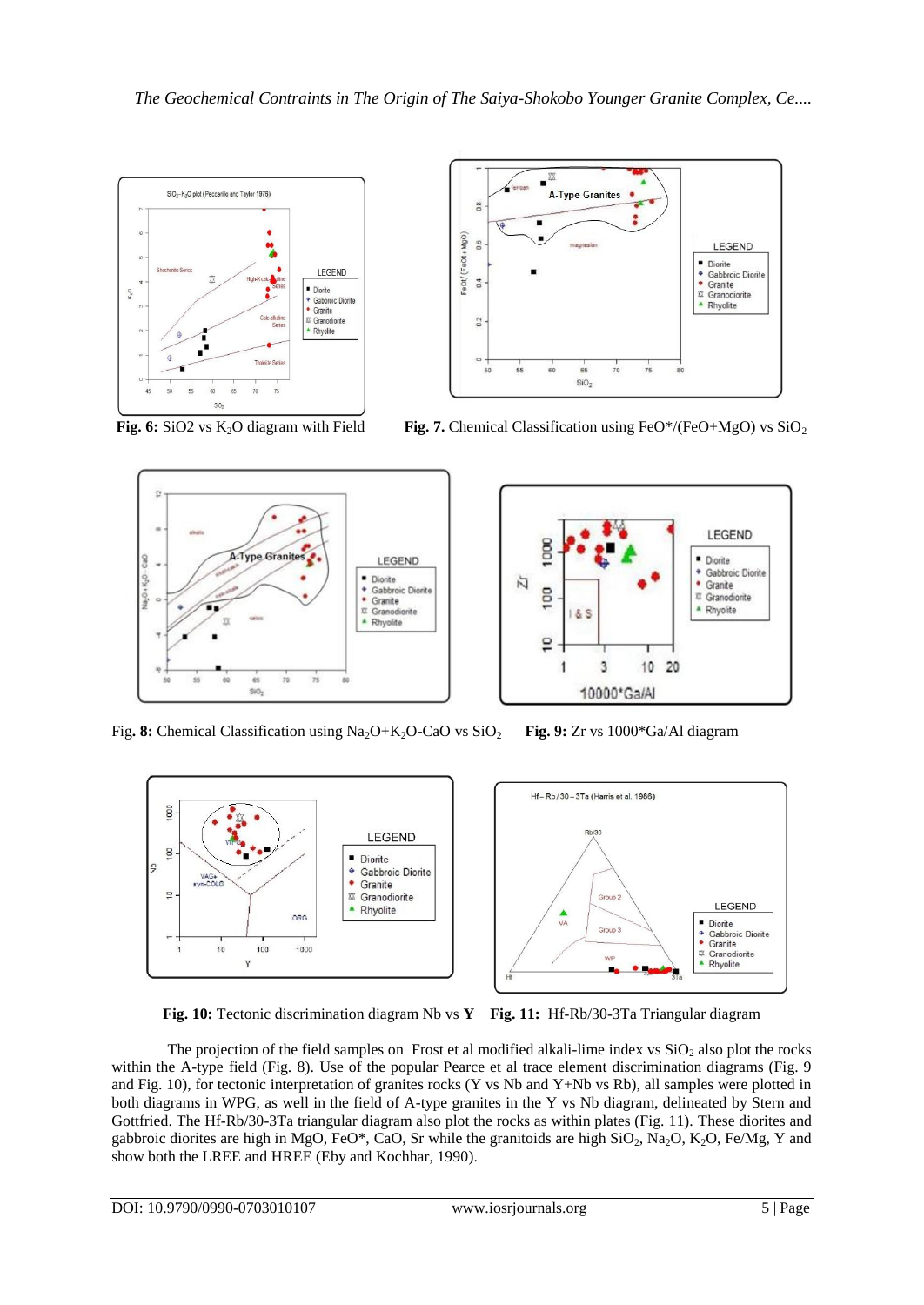





**Fig. 6:** SiO2 vs K<sub>2</sub>O diagram with Field **Fig. 7.** Chemical Classification using FeO\*/(FeO+MgO) vs SiO<sub>2</sub>



Fig**. 8:** Chemical Classification using Na2O+K2O-CaO vs SiO<sup>2</sup> **Fig. 9:** Zr vs 1000\*Ga/Al diagram



**Fig. 10:** Tectonic discrimination diagram Nb vs **Y Fig. 11:** Hf-Rb/30-3Ta Triangular diagram

The projection of the field samples on Frost et al modified alkali-lime index vs  $SiO<sub>2</sub>$  also plot the rocks within the A-type field (Fig. 8). Use of the popular Pearce et al trace element discrimination diagrams (Fig. 9) and Fig. 10), for tectonic interpretation of granites rocks (Y vs Nb and Y+Nb vs Rb), all samples were plotted in both diagrams in WPG, as well in the field of A-type granites in the Y vs Nb diagram, delineated by Stern and Gottfried. The Hf-Rb/30-3Ta triangular diagram also plot the rocks as within plates (Fig. 11). These diorites and gabbroic diorites are high in MgO, FeO\*, CaO, Sr while the granitoids are high  $SiO_2$ , Na<sub>2</sub>O, K<sub>2</sub>O, Fe/Mg, Y and show both the LREE and HREE (Eby and Kochhar, 1990).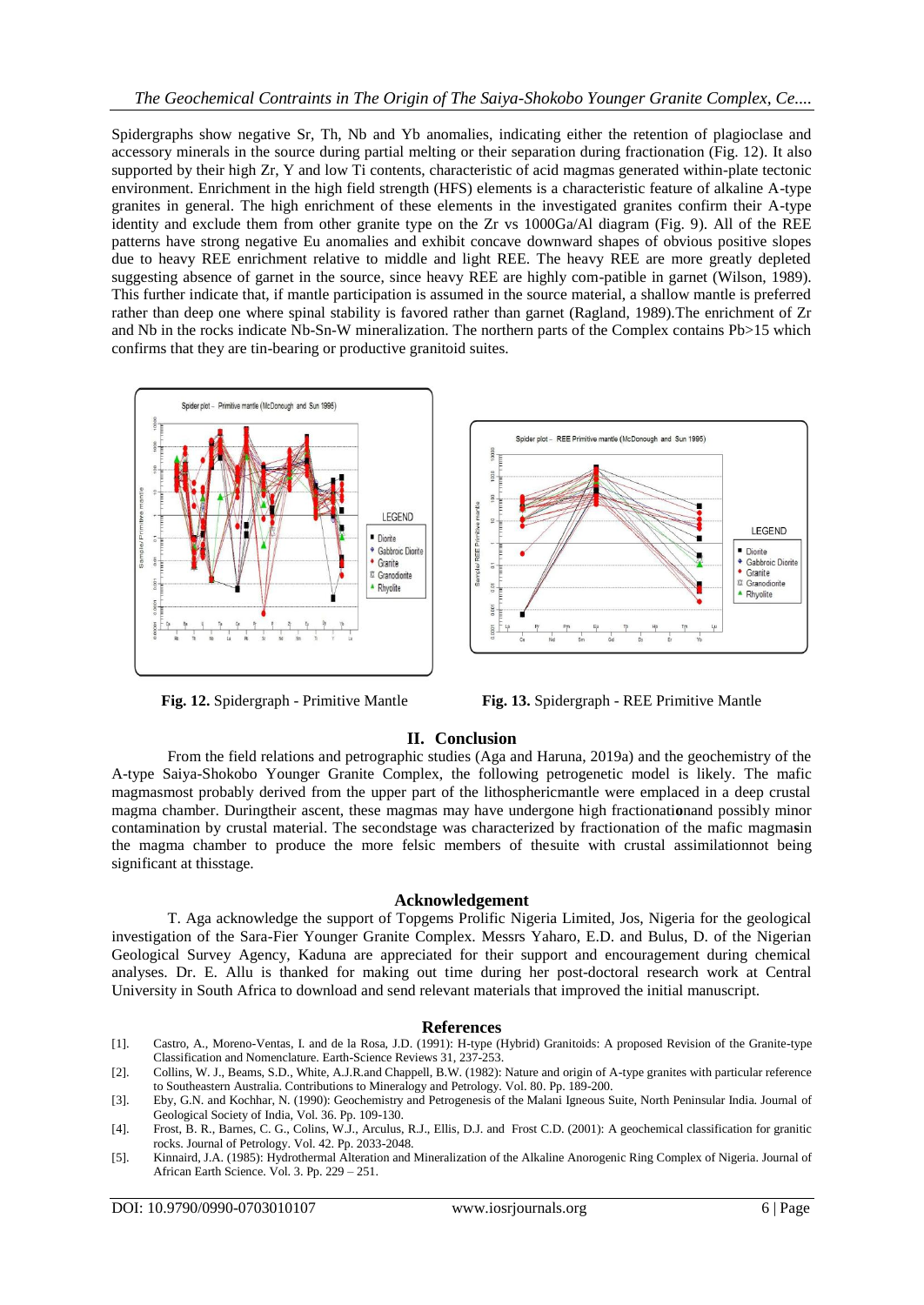Spidergraphs show negative Sr, Th, Nb and Yb anomalies, indicating either the retention of plagioclase and accessory minerals in the source during partial melting or their separation during fractionation (Fig. 12). It also supported by their high Zr, Y and low Ti contents, characteristic of acid magmas generated within-plate tectonic environment. Enrichment in the high field strength (HFS) elements is a characteristic feature of alkaline A-type granites in general. The high enrichment of these elements in the investigated granites confirm their A-type identity and exclude them from other granite type on the Zr vs 1000Ga/Al diagram (Fig. 9). All of the REE patterns have strong negative Eu anomalies and exhibit concave downward shapes of obvious positive slopes due to heavy REE enrichment relative to middle and light REE. The heavy REE are more greatly depleted suggesting absence of garnet in the source, since heavy REE are highly com-patible in garnet (Wilson, 1989). This further indicate that, if mantle participation is assumed in the source material, a shallow mantle is preferred rather than deep one where spinal stability is favored rather than garnet (Ragland, 1989).The enrichment of Zr and Nb in the rocks indicate Nb-Sn-W mineralization. The northern parts of the Complex contains Pb>15 which confirms that they are tin-bearing or productive granitoid suites.





## **II. Conclusion**

From the field relations and petrographic studies (Aga and Haruna, 2019a) and the geochemistry of the A-type Saiya-Shokobo Younger Granite Complex, the following petrogenetic model is likely. The mafic magmasmost probably derived from the upper part of the lithosphericmantle were emplaced in a deep crustal magma chamber. Duringtheir ascent, these magmas may have undergone high fractionati**o**nand possibly minor contamination by crustal material. The secondstage was characterized by fractionation of the mafic magma**s**in the magma chamber to produce the more felsic members of thesuite with crustal assimilationnot being significant at thisstage.

#### **Acknowledgement**

T. Aga acknowledge the support of Topgems Prolific Nigeria Limited, Jos, Nigeria for the geological investigation of the Sara-Fier Younger Granite Complex. Messrs Yaharo, E.D. and Bulus, D. of the Nigerian Geological Survey Agency, Kaduna are appreciated for their support and encouragement during chemical analyses. Dr. E. Allu is thanked for making out time during her post-doctoral research work at Central University in South Africa to download and send relevant materials that improved the initial manuscript.

#### **References**

- [1]. Castro, A., Moreno-Ventas, I. and de la Rosa, J.D. (1991): H-type (Hybrid) Granitoids: A proposed Revision of the Granite-type Classification and Nomenclature. Earth-Science Reviews 31, 237-253.
- [2]. Collins, W. J., Beams, S.D., White, A.J.R.and Chappell, B.W. (1982): Nature and origin of A-type granites with particular reference to Southeastern Australia. Contributions to Mineralogy and Petrology. Vol. 80. Pp. 189-200.
- [3]. Eby, G.N. and Kochhar, N. (1990): Geochemistry and Petrogenesis of the Malani Igneous Suite, North Peninsular India. Journal of Geological Society of India, Vol. 36. Pp. 109-130.
- [4]. Frost, B. R., Barnes, C. G., Colins, W.J., Arculus, R.J., Ellis, D.J. and Frost C.D. (2001): A geochemical classification for granitic rocks. Journal of Petrology. Vol. 42. Pp. 2033-2048.
- [5]. Kinnaird, J.A. (1985): Hydrothermal Alteration and Mineralization of the Alkaline Anorogenic Ring Complex of Nigeria. Journal of African Earth Science. Vol. 3. Pp. 229 – 251.